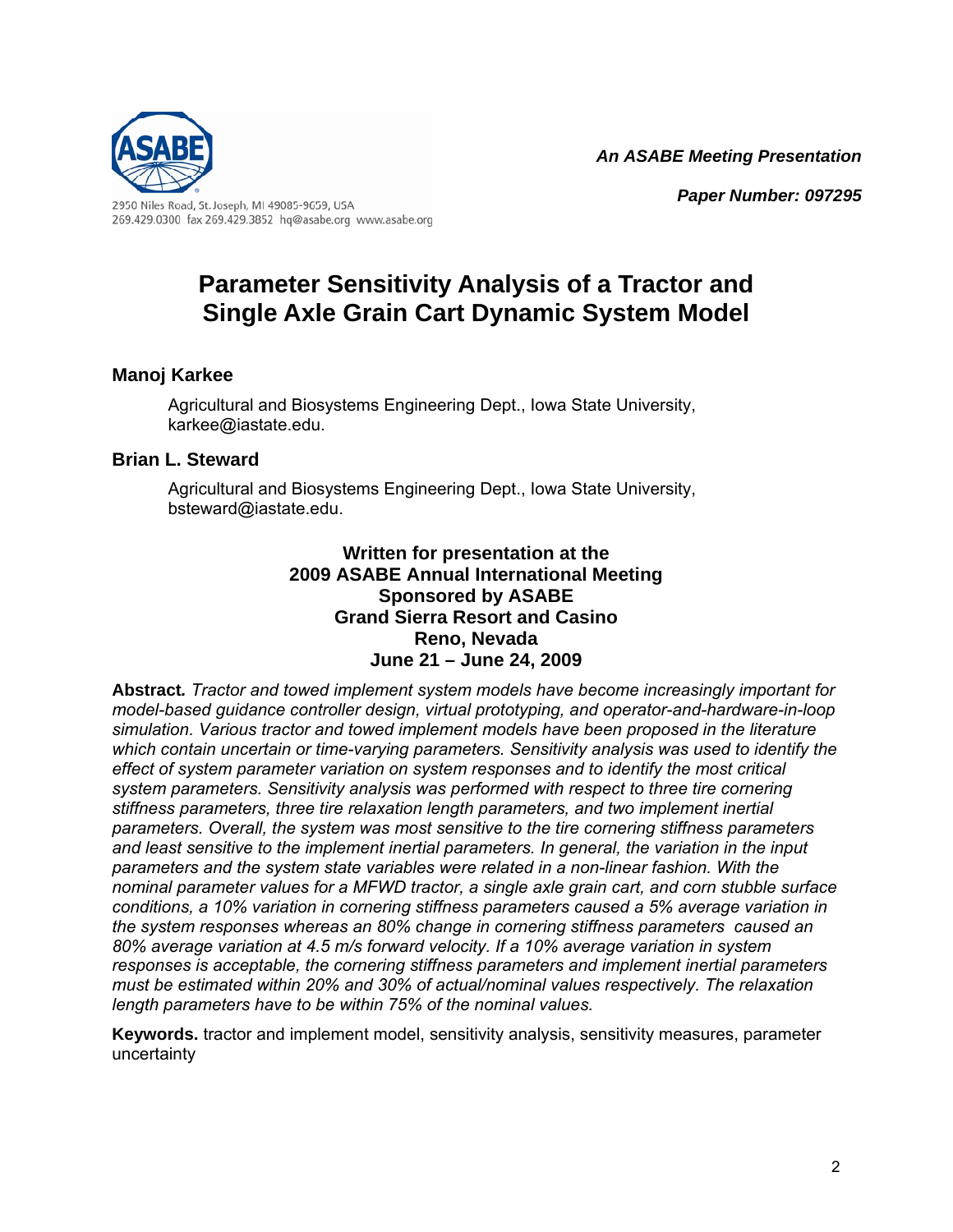*An ASABE Meeting Presentation*



2950 Niles Road, St. Joseph, MI 49085-9659, USA 269.429.0300 fax 269.429.3852 hq@asabe.org www.asabe.org

### *Paper Number: 097295*

# **Parameter Sensitivity Analysis of a Tractor and Single Axle Grain Cart Dynamic System Model**

## **Manoj Karkee**

Agricultural and Biosystems Engineering Dept., Iowa State University, karkee@iastate.edu.

## **Brian L. Steward**

Agricultural and Biosystems Engineering Dept., Iowa State University, bsteward@iastate.edu.

## **Written for presentation at the 2009 ASABE Annual International Meeting Sponsored by ASABE Grand Sierra Resort and Casino Reno, Nevada June 21 – June 24, 2009**

**Abstract***. Tractor and towed implement system models have become increasingly important for model-based guidance controller design, virtual prototyping, and operator-and-hardware-in-loop simulation. Various tractor and towed implement models have been proposed in the literature which contain uncertain or time-varying parameters. Sensitivity analysis was used to identify the effect of system parameter variation on system responses and to identify the most critical system parameters. Sensitivity analysis was performed with respect to three tire cornering stiffness parameters, three tire relaxation length parameters, and two implement inertial parameters. Overall, the system was most sensitive to the tire cornering stiffness parameters and least sensitive to the implement inertial parameters. In general, the variation in the input parameters and the system state variables were related in a non-linear fashion. With the nominal parameter values for a MFWD tractor, a single axle grain cart, and corn stubble surface conditions, a 10% variation in cornering stiffness parameters caused a 5% average variation in the system responses whereas an 80% change in cornering stiffness parameters caused an 80% average variation at 4.5 m/s forward velocity. If a 10% average variation in system responses is acceptable, the cornering stiffness parameters and implement inertial parameters must be estimated within 20% and 30% of actual/nominal values respectively. The relaxation length parameters have to be within 75% of the nominal values.* 

**Keywords.** tractor and implement model, sensitivity analysis, sensitivity measures, parameter uncertainty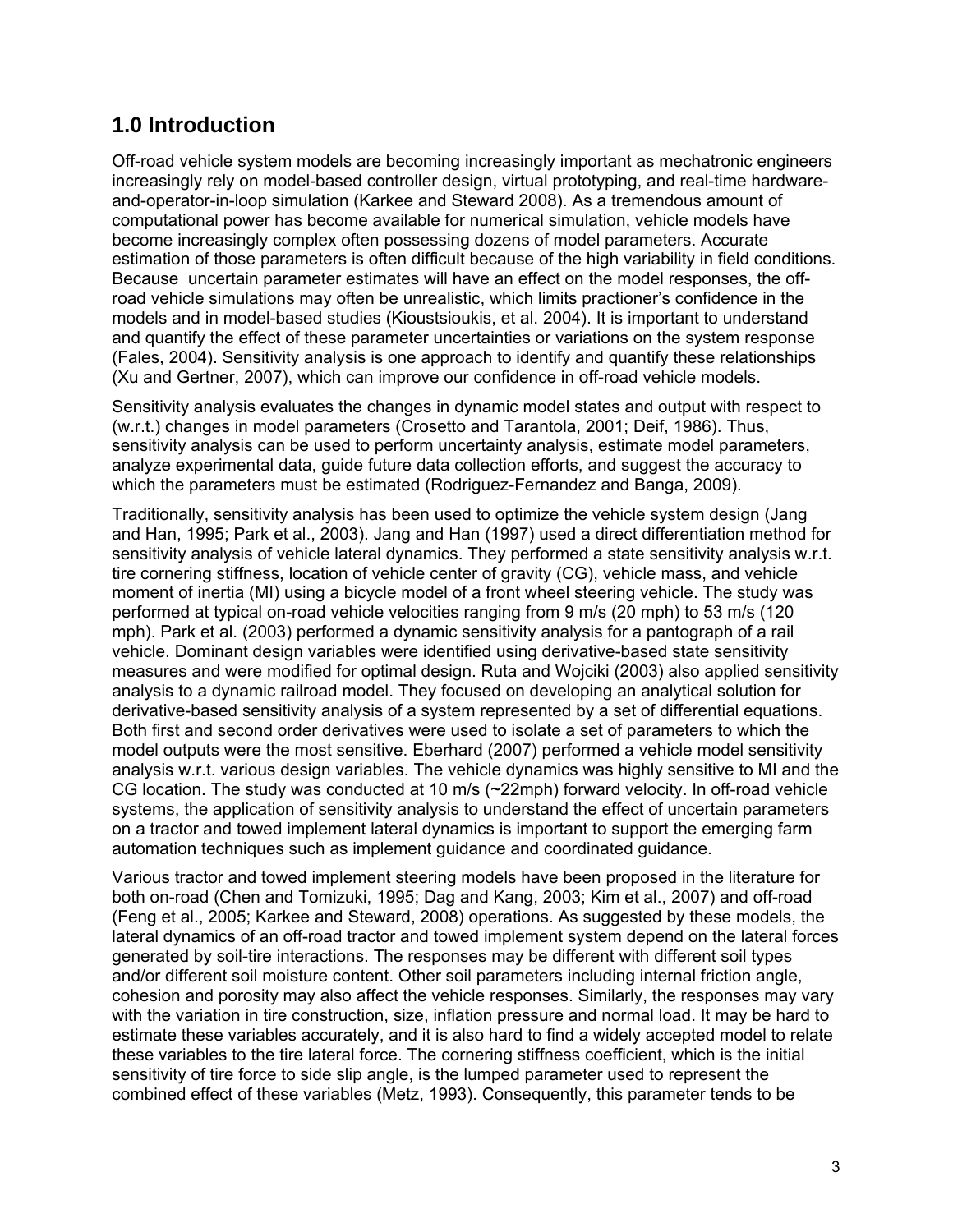## **1.0 Introduction**

Off-road vehicle system models are becoming increasingly important as mechatronic engineers increasingly rely on model-based controller design, virtual prototyping, and real-time hardwareand-operator-in-loop simulation (Karkee and Steward 2008). As a tremendous amount of computational power has become available for numerical simulation, vehicle models have become increasingly complex often possessing dozens of model parameters. Accurate estimation of those parameters is often difficult because of the high variability in field conditions. Because uncertain parameter estimates will have an effect on the model responses, the offroad vehicle simulations may often be unrealistic, which limits practioner's confidence in the models and in model-based studies (Kioustsioukis, et al. 2004). It is important to understand and quantify the effect of these parameter uncertainties or variations on the system response (Fales, 2004). Sensitivity analysis is one approach to identify and quantify these relationships (Xu and Gertner, 2007), which can improve our confidence in off-road vehicle models.

Sensitivity analysis evaluates the changes in dynamic model states and output with respect to (w.r.t.) changes in model parameters (Crosetto and Tarantola, 2001; Deif, 1986). Thus, sensitivity analysis can be used to perform uncertainty analysis, estimate model parameters, analyze experimental data, guide future data collection efforts, and suggest the accuracy to which the parameters must be estimated (Rodriguez-Fernandez and Banga, 2009).

Traditionally, sensitivity analysis has been used to optimize the vehicle system design (Jang and Han, 1995; Park et al., 2003). Jang and Han (1997) used a direct differentiation method for sensitivity analysis of vehicle lateral dynamics. They performed a state sensitivity analysis w.r.t. tire cornering stiffness, location of vehicle center of gravity (CG), vehicle mass, and vehicle moment of inertia (MI) using a bicycle model of a front wheel steering vehicle. The study was performed at typical on-road vehicle velocities ranging from 9 m/s (20 mph) to 53 m/s (120 mph). Park et al. (2003) performed a dynamic sensitivity analysis for a pantograph of a rail vehicle. Dominant design variables were identified using derivative-based state sensitivity measures and were modified for optimal design. Ruta and Wojciki (2003) also applied sensitivity analysis to a dynamic railroad model. They focused on developing an analytical solution for derivative-based sensitivity analysis of a system represented by a set of differential equations. Both first and second order derivatives were used to isolate a set of parameters to which the model outputs were the most sensitive. Eberhard (2007) performed a vehicle model sensitivity analysis w.r.t. various design variables. The vehicle dynamics was highly sensitive to MI and the CG location. The study was conducted at 10 m/s (~22mph) forward velocity. In off-road vehicle systems, the application of sensitivity analysis to understand the effect of uncertain parameters on a tractor and towed implement lateral dynamics is important to support the emerging farm automation techniques such as implement guidance and coordinated guidance.

Various tractor and towed implement steering models have been proposed in the literature for both on-road (Chen and Tomizuki, 1995; Dag and Kang, 2003; Kim et al., 2007) and off-road (Feng et al., 2005; Karkee and Steward, 2008) operations. As suggested by these models, the lateral dynamics of an off-road tractor and towed implement system depend on the lateral forces generated by soil-tire interactions. The responses may be different with different soil types and/or different soil moisture content. Other soil parameters including internal friction angle, cohesion and porosity may also affect the vehicle responses. Similarly, the responses may vary with the variation in tire construction, size, inflation pressure and normal load. It may be hard to estimate these variables accurately, and it is also hard to find a widely accepted model to relate these variables to the tire lateral force. The cornering stiffness coefficient, which is the initial sensitivity of tire force to side slip angle, is the lumped parameter used to represent the combined effect of these variables (Metz, 1993). Consequently, this parameter tends to be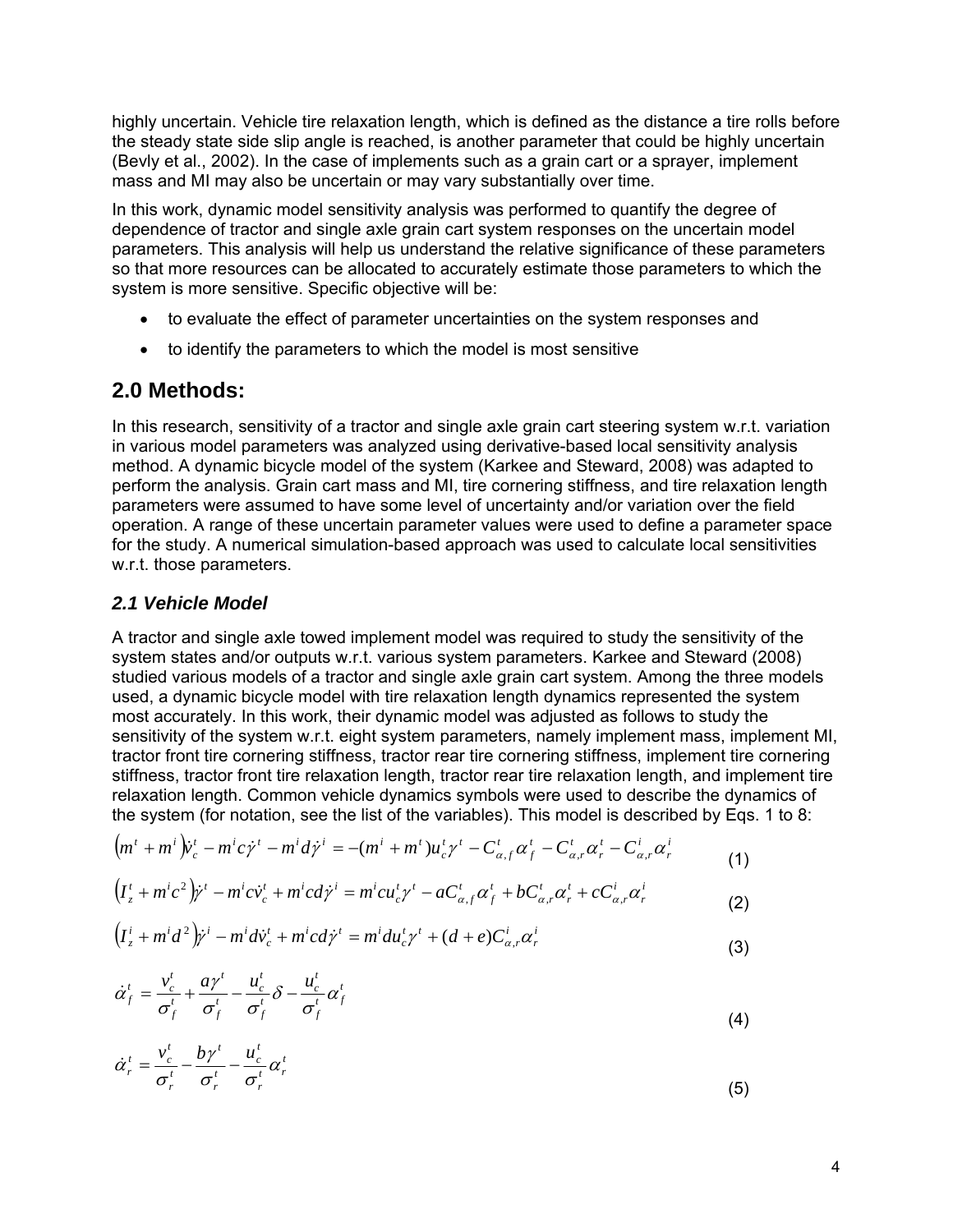highly uncertain. Vehicle tire relaxation length, which is defined as the distance a tire rolls before the steady state side slip angle is reached, is another parameter that could be highly uncertain (Bevly et al., 2002). In the case of implements such as a grain cart or a sprayer, implement mass and MI may also be uncertain or may vary substantially over time.

In this work, dynamic model sensitivity analysis was performed to quantify the degree of dependence of tractor and single axle grain cart system responses on the uncertain model parameters. This analysis will help us understand the relative significance of these parameters so that more resources can be allocated to accurately estimate those parameters to which the system is more sensitive. Specific objective will be:

- to evaluate the effect of parameter uncertainties on the system responses and
- to identify the parameters to which the model is most sensitive

## **2.0 Methods:**

In this research, sensitivity of a tractor and single axle grain cart steering system w.r.t. variation in various model parameters was analyzed using derivative-based local sensitivity analysis method. A dynamic bicycle model of the system (Karkee and Steward, 2008) was adapted to perform the analysis. Grain cart mass and MI, tire cornering stiffness, and tire relaxation length parameters were assumed to have some level of uncertainty and/or variation over the field operation. A range of these uncertain parameter values were used to define a parameter space for the study. A numerical simulation-based approach was used to calculate local sensitivities w.r.t. those parameters.

## *2.1 Vehicle Model*

A tractor and single axle towed implement model was required to study the sensitivity of the system states and/or outputs w.r.t. various system parameters. Karkee and Steward (2008) studied various models of a tractor and single axle grain cart system. Among the three models used, a dynamic bicycle model with tire relaxation length dynamics represented the system most accurately. In this work, their dynamic model was adjusted as follows to study the sensitivity of the system w.r.t. eight system parameters, namely implement mass, implement MI, tractor front tire cornering stiffness, tractor rear tire cornering stiffness, implement tire cornering stiffness, tractor front tire relaxation length, tractor rear tire relaxation length, and implement tire relaxation length. Common vehicle dynamics symbols were used to describe the dynamics of the system (for notation, see the list of the variables). This model is described by Eqs. 1 to 8:

$$
\left(m^t + m^i\right)\dot{v}_c^t - m^ic\dot{\gamma}^t - m^id\dot{\gamma}^i = -(m^i + m^t)u_c^t\gamma^t - C_{\alpha,f}^t\alpha_f^t - C_{\alpha,r}^t\alpha_r^t - C_{\alpha,r}^i\alpha_r^i \tag{1}
$$

$$
\left(I_z^t + m^ic^2\right)\dot{\gamma}^t - m^ic\dot{\gamma}_c^t + m^icd\dot{\gamma}^i = m^icu_c^t\gamma^t - aC_{\alpha,f}^t\alpha_f^t + bC_{\alpha,r}^t\alpha_r^t + cC_{\alpha,r}^i\alpha_r^i\tag{2}
$$

$$
\left(I_z^i + m^i d^2\right) \dot{y}^i - m^i d\dot{v}_c^i + m^i c d\dot{\gamma}^i = m^i du_c^t \gamma^i + (d + e) C_{\alpha,r}^i \alpha_r^i \tag{3}
$$

$$
\dot{\alpha}_f^t = \frac{v_c^t}{\sigma_f^t} + \frac{a\gamma^t}{\sigma_f^t} - \frac{u_c^t}{\sigma_f^t} \delta - \frac{u_c^t}{\sigma_f^t} \alpha_f^t
$$
\n(4)

$$
\dot{\alpha}_r^t = \frac{v_c^t}{\sigma_r^t} - \frac{b\gamma^t}{\sigma_r^t} - \frac{u_c^t}{\sigma_r^t} \alpha_r^t
$$
\n<sup>(5)</sup>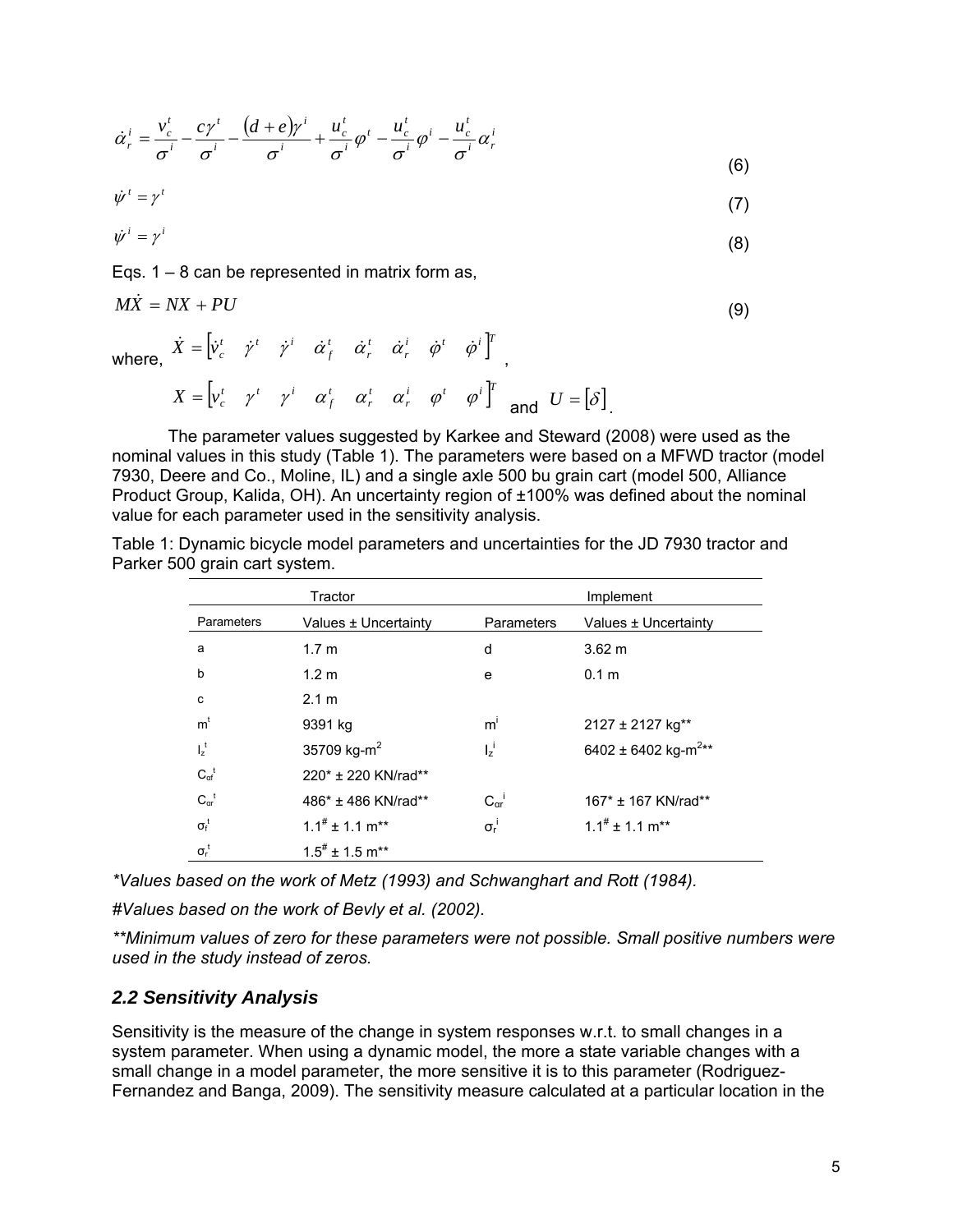$$
\dot{\alpha}_r^i = \frac{v_c^i}{\sigma^i} - \frac{c\gamma^i}{\sigma^i} - \frac{(d+e)\gamma^i}{\sigma^i} + \frac{u_c^i}{\sigma^i} \varphi^i - \frac{u_c^i}{\sigma^i} \varphi^i - \frac{u_c^i}{\sigma^i} \alpha_r^i
$$
\n
$$
\dot{\psi}^i = \gamma^i
$$
\n
$$
\dot{\psi}^i = \gamma^i
$$
\n(6)

Eqs.  $1 - 8$  can be represented in matrix form as,

$$
M\dot{X} = NX + PU
$$
  
\nwhere,  $\dot{X} = \begin{bmatrix} \dot{v}_c^t & \dot{\gamma}^t & \dot{\gamma}^i & \dot{\alpha}_f^t & \dot{\alpha}_f^t & \dot{\alpha}_f^t & \dot{\varphi}^t & \dot{\varphi}^t \end{bmatrix}^T$ ,  
\n
$$
X = \begin{bmatrix} v_c^t & \gamma^t & \gamma^i & \alpha_f^t & \alpha_r^t & \alpha_r^t & \varphi^t & \varphi^t \end{bmatrix}^T
$$
and  $U = [\delta]$ . (9)

*t r*

 $X = \begin{bmatrix} v_c^t & \gamma^t & \gamma^t & \alpha_f^t & \alpha_r^t & \alpha_r^t & \varphi^t & \varphi^t \end{bmatrix}^T$  and  $U = [\delta]$ .

*t f*

 The parameter values suggested by Karkee and Steward (2008) were used as the nominal values in this study (Table 1). The parameters were based on a MFWD tractor (model 7930, Deere and Co., Moline, IL) and a single axle 500 bu grain cart (model 500, Alliance Product Group, Kalida, OH). An uncertainty region of ±100% was defined about the nominal value for each parameter used in the sensitivity analysis.

Table 1: Dynamic bicycle model parameters and uncertainties for the JD 7930 tractor and Parker 500 grain cart system.

| Tractor                              |                                  | Implement                   |                                  |
|--------------------------------------|----------------------------------|-----------------------------|----------------------------------|
| Parameters                           | Values ± Uncertainty             | <b>Parameters</b>           | Values ± Uncertainty             |
| a                                    | 1.7 <sub>m</sub>                 | d                           | $3.62 \text{ m}$                 |
| b                                    | 1.2 <sub>m</sub>                 | e                           | 0.1 <sub>m</sub>                 |
| C                                    | 2.1 m                            |                             |                                  |
| m <sup>t</sup>                       | 9391 kg                          | m <sup>i</sup>              | 2127 ± 2127 kg**                 |
| $I_z^t$                              | 35709 kg-m <sup>2</sup>          | $I_z$                       | 6402 ± 6402 kg-m <sup>2**</sup>  |
| $C_{\alpha f}^{\quad t}$             | 220* ± 220 KN/rad**              |                             |                                  |
| $C_{\alpha r}^{\phantom{\alpha r}t}$ | 486* ± 486 KN/rad**              | $C_{\alpha r}$ <sup>i</sup> | 167* ± 167 KN/rad**              |
| $\sigma_f^t$                         | $1.1^{\#}$ ± 1.1 m <sup>**</sup> | $\sigma_r^i$                | $1.1^{\#}$ ± 1.1 m <sup>**</sup> |
| $\sigma_r^t$                         | $1.5^{\#}$ ± 1.5 m**             |                             |                                  |

*\*Values based on the work of Metz (1993) and Schwanghart and Rott (1984).* 

*#Values based on the work of Bevly et al. (2002).* 

*\*\*Minimum values of zero for these parameters were not possible. Small positive numbers were used in the study instead of zeros.* 

#### *2.2 Sensitivity Analysis*

Sensitivity is the measure of the change in system responses w.r.t. to small changes in a system parameter. When using a dynamic model, the more a state variable changes with a small change in a model parameter, the more sensitive it is to this parameter (Rodriguez-Fernandez and Banga, 2009). The sensitivity measure calculated at a particular location in the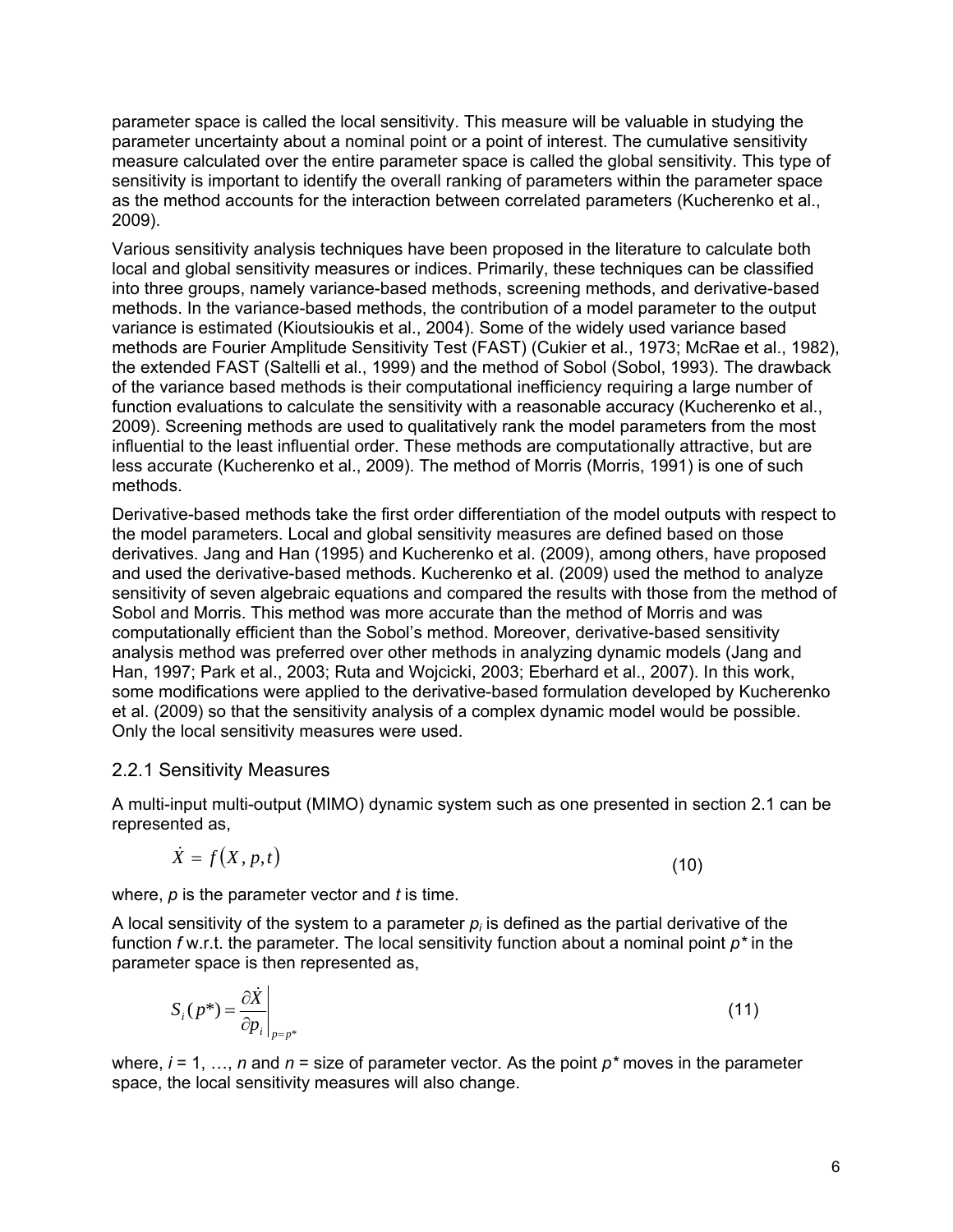parameter space is called the local sensitivity. This measure will be valuable in studying the parameter uncertainty about a nominal point or a point of interest. The cumulative sensitivity measure calculated over the entire parameter space is called the global sensitivity. This type of sensitivity is important to identify the overall ranking of parameters within the parameter space as the method accounts for the interaction between correlated parameters (Kucherenko et al., 2009).

Various sensitivity analysis techniques have been proposed in the literature to calculate both local and global sensitivity measures or indices. Primarily, these techniques can be classified into three groups, namely variance-based methods, screening methods, and derivative-based methods. In the variance-based methods, the contribution of a model parameter to the output variance is estimated (Kioutsioukis et al., 2004). Some of the widely used variance based methods are Fourier Amplitude Sensitivity Test (FAST) (Cukier et al., 1973; McRae et al., 1982), the extended FAST (Saltelli et al., 1999) and the method of Sobol (Sobol, 1993). The drawback of the variance based methods is their computational inefficiency requiring a large number of function evaluations to calculate the sensitivity with a reasonable accuracy (Kucherenko et al., 2009). Screening methods are used to qualitatively rank the model parameters from the most influential to the least influential order. These methods are computationally attractive, but are less accurate (Kucherenko et al., 2009). The method of Morris (Morris, 1991) is one of such methods.

Derivative-based methods take the first order differentiation of the model outputs with respect to the model parameters. Local and global sensitivity measures are defined based on those derivatives. Jang and Han (1995) and Kucherenko et al. (2009), among others, have proposed and used the derivative-based methods. Kucherenko et al. (2009) used the method to analyze sensitivity of seven algebraic equations and compared the results with those from the method of Sobol and Morris. This method was more accurate than the method of Morris and was computationally efficient than the Sobol's method. Moreover, derivative-based sensitivity analysis method was preferred over other methods in analyzing dynamic models (Jang and Han, 1997; Park et al., 2003; Ruta and Wojcicki, 2003; Eberhard et al., 2007). In this work, some modifications were applied to the derivative-based formulation developed by Kucherenko et al. (2009) so that the sensitivity analysis of a complex dynamic model would be possible. Only the local sensitivity measures were used.

## 2.2.1 Sensitivity Measures

A multi-input multi-output (MIMO) dynamic system such as one presented in section 2.1 can be represented as,

$$
\dot{X} = f(X, p, t) \tag{10}
$$

where, *p* is the parameter vector and *t* is time.

A local sensitivity of the system to a parameter  $p_i$  is defined as the partial derivative of the function *f* w.r.t. the parameter. The local sensitivity function about a nominal point *p\** in the parameter space is then represented as,

$$
S_i(p^*) = \frac{\partial \dot{X}}{\partial p_i}\bigg|_{p=p^*}
$$
\n(11)

where,  $i = 1, \ldots, n$  and  $n =$  size of parameter vector. As the point  $p^*$  moves in the parameter space, the local sensitivity measures will also change.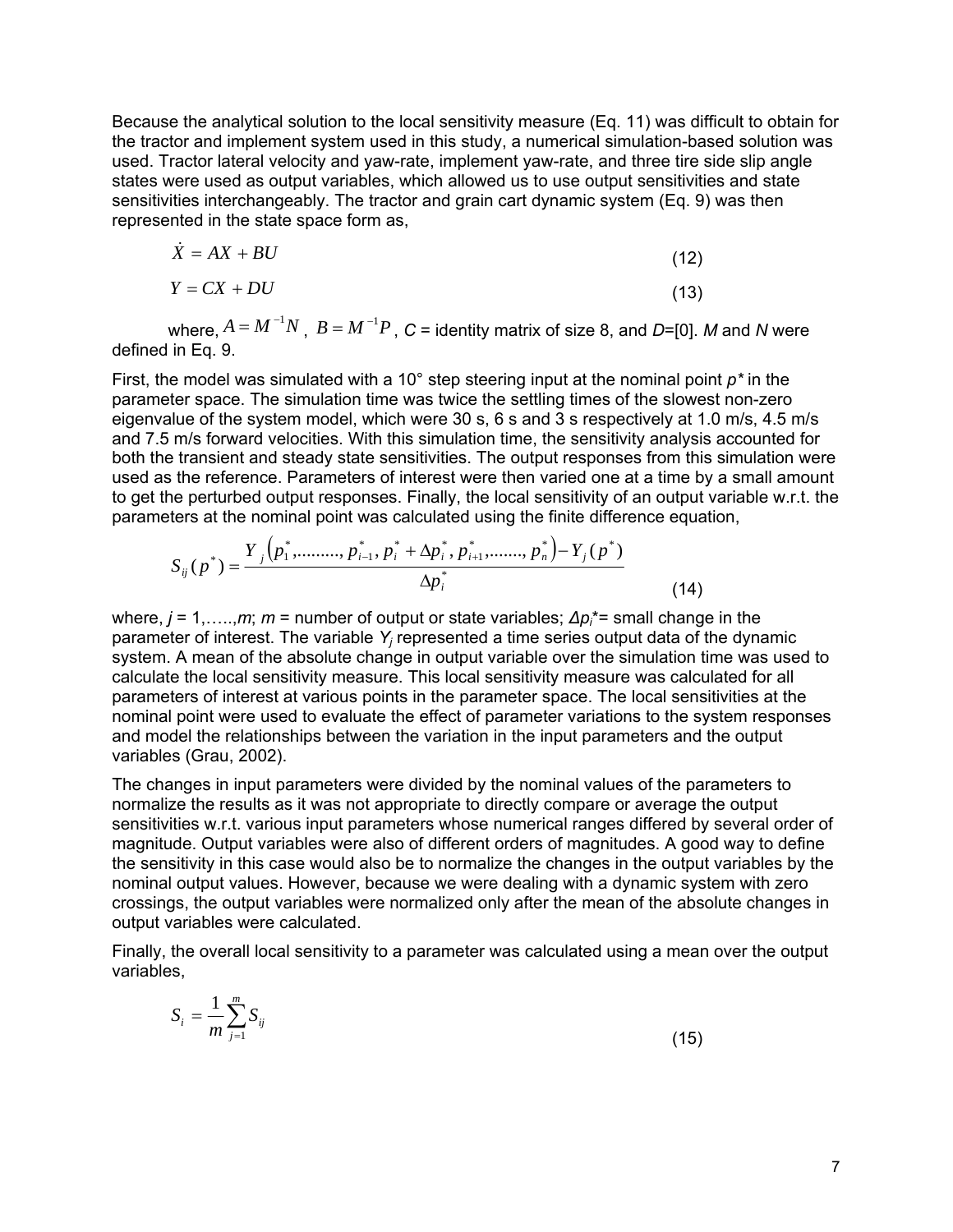Because the analytical solution to the local sensitivity measure (Eq. 11) was difficult to obtain for the tractor and implement system used in this study, a numerical simulation-based solution was used. Tractor lateral velocity and yaw-rate, implement yaw-rate, and three tire side slip angle states were used as output variables, which allowed us to use output sensitivities and state sensitivities interchangeably. The tractor and grain cart dynamic system (Eq. 9) was then represented in the state space form as,

$$
\dot{X} = AX + BU \tag{12}
$$

$$
Y = CX + DU \tag{13}
$$

where,  $A = M^{-1}N$ ,  $B = M^{-1}P$ ,  $C =$  identity matrix of size 8, and  $D=[0]$ . *M* and *N* were defined in Eq. 9.

First, the model was simulated with a 10° step steering input at the nominal point *p\** in the parameter space. The simulation time was twice the settling times of the slowest non-zero eigenvalue of the system model, which were 30 s, 6 s and 3 s respectively at 1.0 m/s, 4.5 m/s and 7.5 m/s forward velocities. With this simulation time, the sensitivity analysis accounted for both the transient and steady state sensitivities. The output responses from this simulation were used as the reference. Parameters of interest were then varied one at a time by a small amount to get the perturbed output responses. Finally, the local sensitivity of an output variable w.r.t. the parameters at the nominal point was calculated using the finite difference equation,

$$
S_{ij}(p^*) = \frac{Y_j(p_1^*, \dots, p_{i-1}^*, p_i^* + \Delta p_i^*, p_{i+1}^*, \dots, p_n^*) - Y_j(p^*)}{\Delta p_i^*}
$$
(14)

where, *j* = 1,…..,*m*; *m* = number of output or state variables; *∆pi*\*= small change in the parameter of interest. The variable *Yj* represented a time series output data of the dynamic system. A mean of the absolute change in output variable over the simulation time was used to calculate the local sensitivity measure. This local sensitivity measure was calculated for all parameters of interest at various points in the parameter space. The local sensitivities at the nominal point were used to evaluate the effect of parameter variations to the system responses and model the relationships between the variation in the input parameters and the output variables (Grau, 2002).

The changes in input parameters were divided by the nominal values of the parameters to normalize the results as it was not appropriate to directly compare or average the output sensitivities w.r.t. various input parameters whose numerical ranges differed by several order of magnitude. Output variables were also of different orders of magnitudes. A good way to define the sensitivity in this case would also be to normalize the changes in the output variables by the nominal output values. However, because we were dealing with a dynamic system with zero crossings, the output variables were normalized only after the mean of the absolute changes in output variables were calculated.

Finally, the overall local sensitivity to a parameter was calculated using a mean over the output variables,

$$
S_i = \frac{1}{m} \sum_{j=1}^{m} S_{ij}
$$
 (15)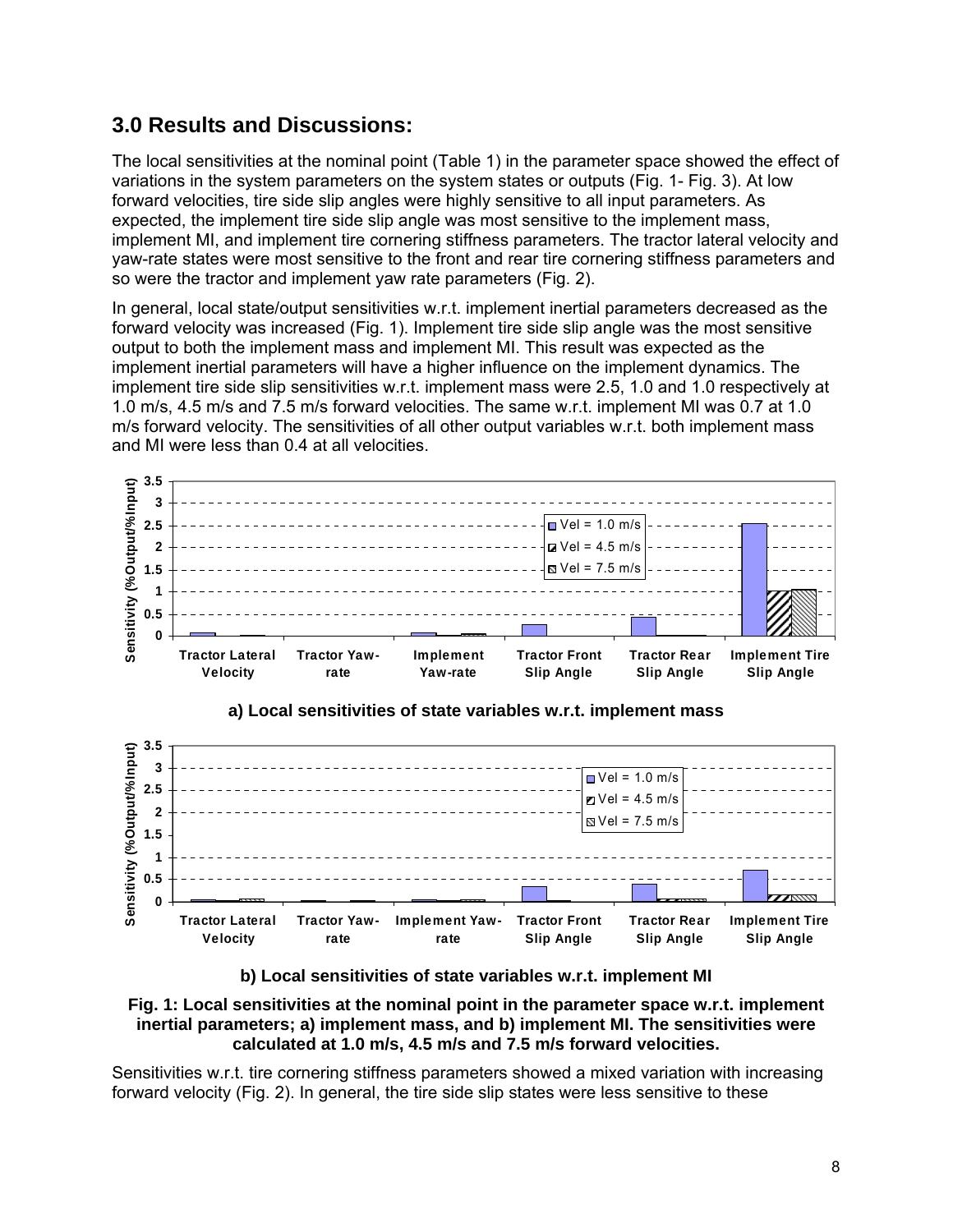## **3.0 Results and Discussions:**

The local sensitivities at the nominal point (Table 1) in the parameter space showed the effect of variations in the system parameters on the system states or outputs (Fig. 1- Fig. 3). At low forward velocities, tire side slip angles were highly sensitive to all input parameters. As expected, the implement tire side slip angle was most sensitive to the implement mass, implement MI, and implement tire cornering stiffness parameters. The tractor lateral velocity and yaw-rate states were most sensitive to the front and rear tire cornering stiffness parameters and so were the tractor and implement yaw rate parameters (Fig. 2).

In general, local state/output sensitivities w.r.t. implement inertial parameters decreased as the forward velocity was increased (Fig. 1). Implement tire side slip angle was the most sensitive output to both the implement mass and implement MI. This result was expected as the implement inertial parameters will have a higher influence on the implement dynamics. The implement tire side slip sensitivities w.r.t. implement mass were 2.5, 1.0 and 1.0 respectively at 1.0 m/s, 4.5 m/s and 7.5 m/s forward velocities. The same w.r.t. implement MI was 0.7 at 1.0 m/s forward velocity. The sensitivities of all other output variables w.r.t. both implement mass and MI were less than 0.4 at all velocities.



**b) Local sensitivities of state variables w.r.t. implement MI** 

#### **Fig. 1: Local sensitivities at the nominal point in the parameter space w.r.t. implement inertial parameters; a) implement mass, and b) implement MI. The sensitivities were calculated at 1.0 m/s, 4.5 m/s and 7.5 m/s forward velocities.**

Sensitivities w.r.t. tire cornering stiffness parameters showed a mixed variation with increasing forward velocity (Fig. 2). In general, the tire side slip states were less sensitive to these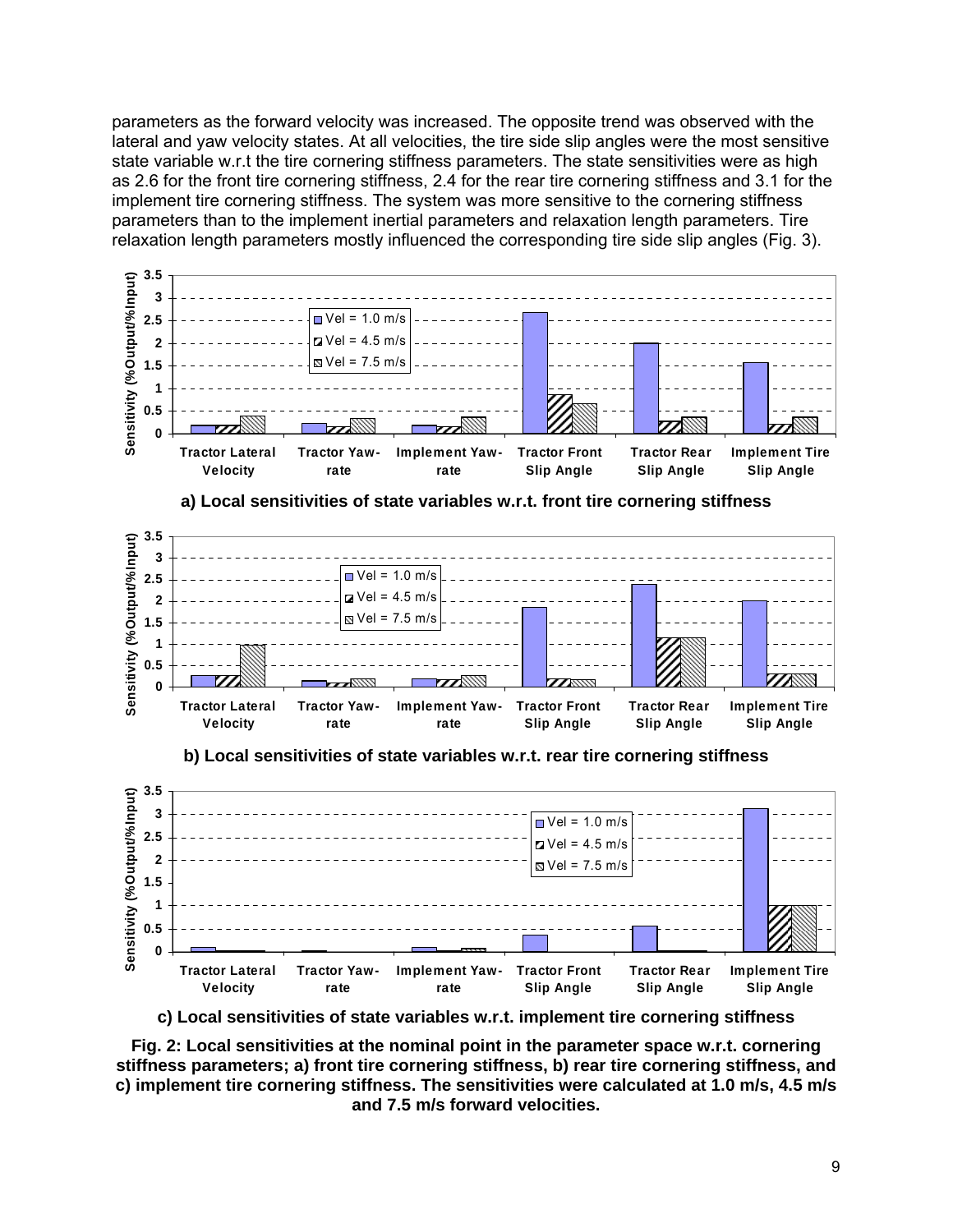parameters as the forward velocity was increased. The opposite trend was observed with the lateral and yaw velocity states. At all velocities, the tire side slip angles were the most sensitive state variable w.r.t the tire cornering stiffness parameters. The state sensitivities were as high as 2.6 for the front tire cornering stiffness, 2.4 for the rear tire cornering stiffness and 3.1 for the implement tire cornering stiffness. The system was more sensitive to the cornering stiffness parameters than to the implement inertial parameters and relaxation length parameters. Tire relaxation length parameters mostly influenced the corresponding tire side slip angles (Fig. 3).



**c) Local sensitivities of state variables w.r.t. implement tire cornering stiffness** 

**Fig. 2: Local sensitivities at the nominal point in the parameter space w.r.t. cornering stiffness parameters; a) front tire cornering stiffness, b) rear tire cornering stiffness, and c) implement tire cornering stiffness. The sensitivities were calculated at 1.0 m/s, 4.5 m/s and 7.5 m/s forward velocities.**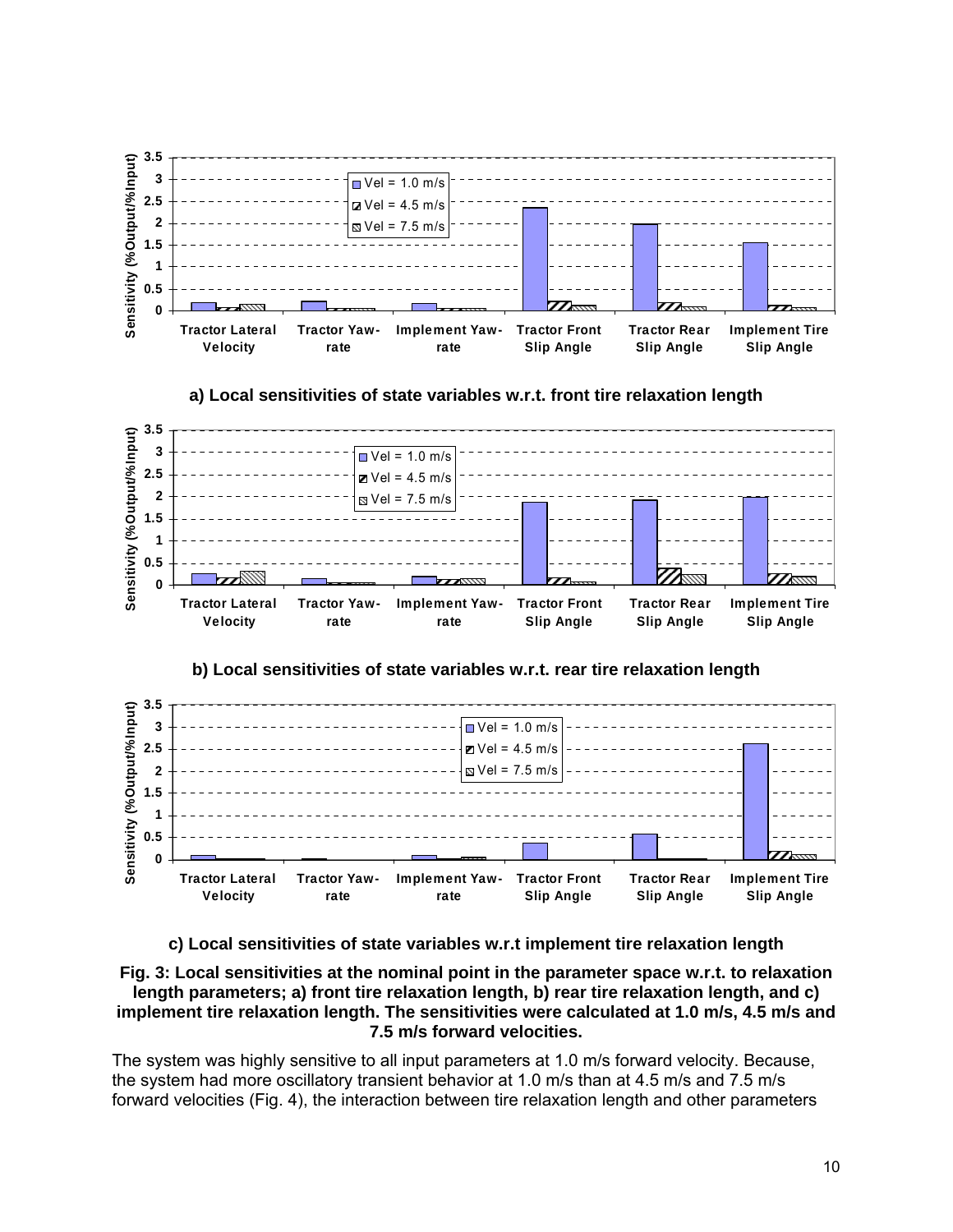





#### **b) Local sensitivities of state variables w.r.t. rear tire relaxation length**



#### **c) Local sensitivities of state variables w.r.t implement tire relaxation length**

**Fig. 3: Local sensitivities at the nominal point in the parameter space w.r.t. to relaxation length parameters; a) front tire relaxation length, b) rear tire relaxation length, and c) implement tire relaxation length. The sensitivities were calculated at 1.0 m/s, 4.5 m/s and 7.5 m/s forward velocities.** 

The system was highly sensitive to all input parameters at 1.0 m/s forward velocity. Because, the system had more oscillatory transient behavior at 1.0 m/s than at 4.5 m/s and 7.5 m/s forward velocities (Fig. 4), the interaction between tire relaxation length and other parameters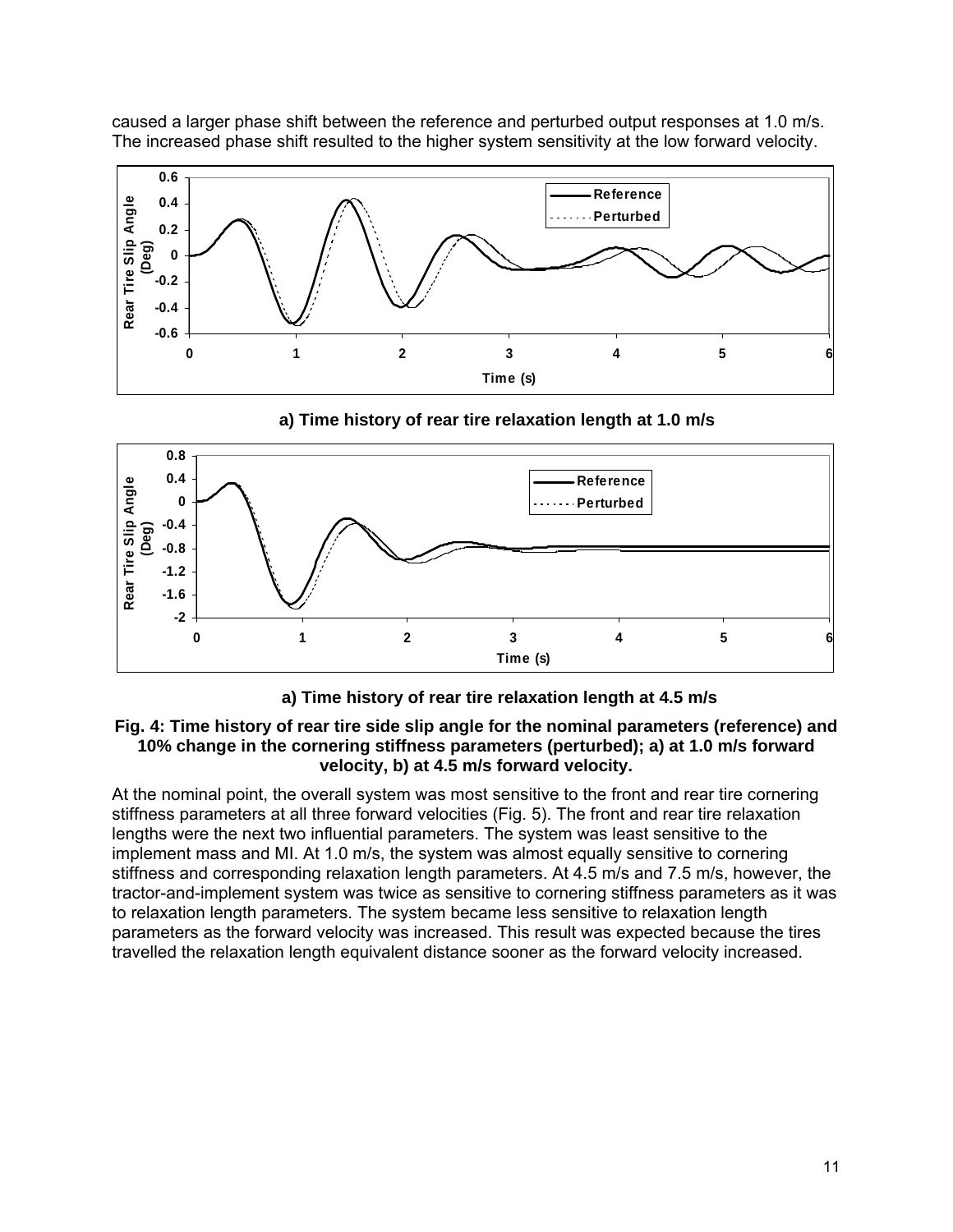caused a larger phase shift between the reference and perturbed output responses at 1.0 m/s. The increased phase shift resulted to the higher system sensitivity at the low forward velocity.



**a) Time history of rear tire relaxation length at 1.0 m/s** 



 **a) Time history of rear tire relaxation length at 4.5 m/s** 

#### **Fig. 4: Time history of rear tire side slip angle for the nominal parameters (reference) and 10% change in the cornering stiffness parameters (perturbed); a) at 1.0 m/s forward velocity, b) at 4.5 m/s forward velocity.**

At the nominal point, the overall system was most sensitive to the front and rear tire cornering stiffness parameters at all three forward velocities (Fig. 5). The front and rear tire relaxation lengths were the next two influential parameters. The system was least sensitive to the implement mass and MI. At 1.0 m/s, the system was almost equally sensitive to cornering stiffness and corresponding relaxation length parameters. At 4.5 m/s and 7.5 m/s, however, the tractor-and-implement system was twice as sensitive to cornering stiffness parameters as it was to relaxation length parameters. The system became less sensitive to relaxation length parameters as the forward velocity was increased. This result was expected because the tires travelled the relaxation length equivalent distance sooner as the forward velocity increased.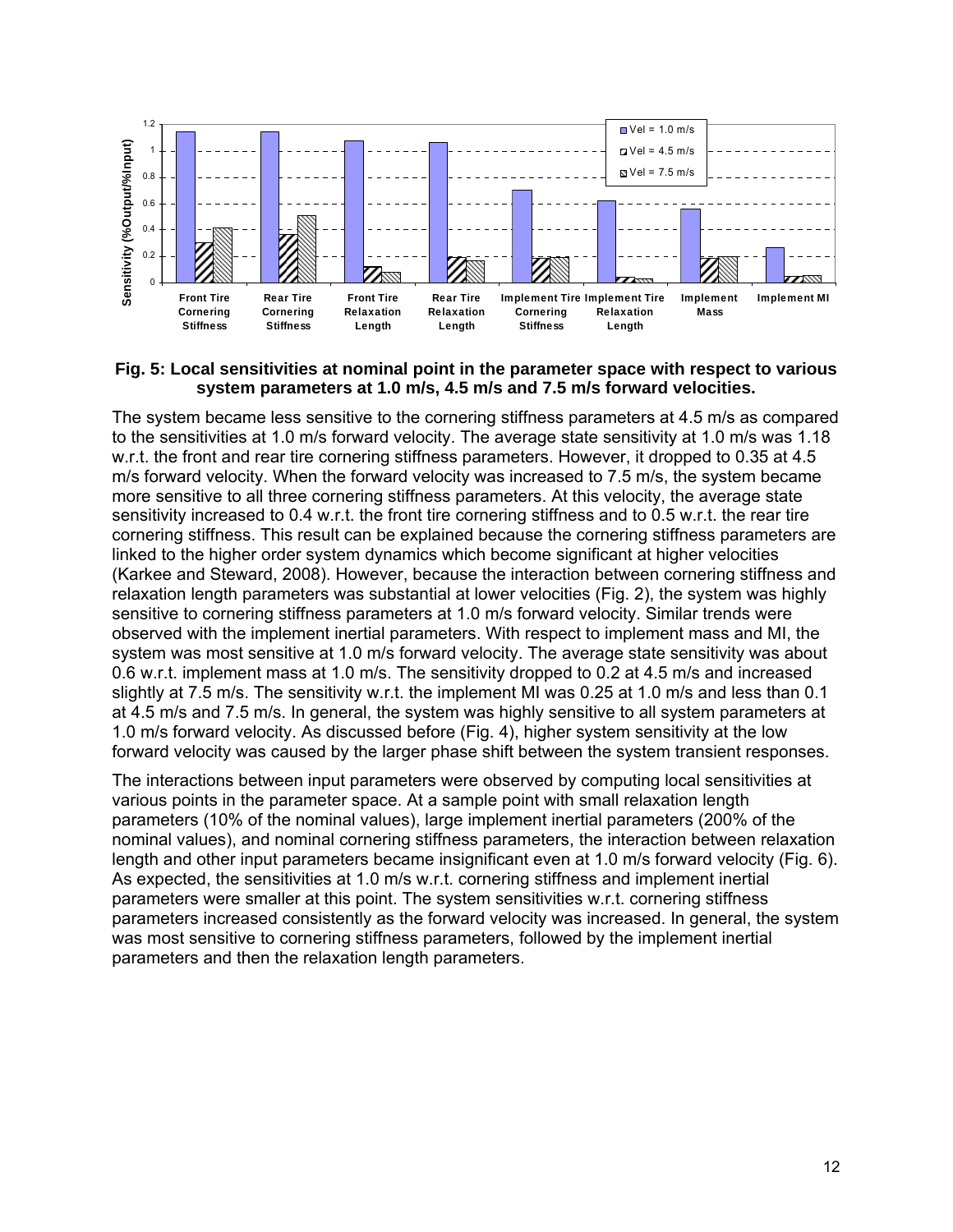

#### **Fig. 5: Local sensitivities at nominal point in the parameter space with respect to various system parameters at 1.0 m/s, 4.5 m/s and 7.5 m/s forward velocities.**

The system became less sensitive to the cornering stiffness parameters at 4.5 m/s as compared to the sensitivities at 1.0 m/s forward velocity. The average state sensitivity at 1.0 m/s was 1.18 w.r.t. the front and rear tire cornering stiffness parameters. However, it dropped to 0.35 at 4.5 m/s forward velocity. When the forward velocity was increased to 7.5 m/s, the system became more sensitive to all three cornering stiffness parameters. At this velocity, the average state sensitivity increased to 0.4 w.r.t. the front tire cornering stiffness and to 0.5 w.r.t. the rear tire cornering stiffness. This result can be explained because the cornering stiffness parameters are linked to the higher order system dynamics which become significant at higher velocities (Karkee and Steward, 2008). However, because the interaction between cornering stiffness and relaxation length parameters was substantial at lower velocities (Fig. 2), the system was highly sensitive to cornering stiffness parameters at 1.0 m/s forward velocity. Similar trends were observed with the implement inertial parameters. With respect to implement mass and MI, the system was most sensitive at 1.0 m/s forward velocity. The average state sensitivity was about 0.6 w.r.t. implement mass at 1.0 m/s. The sensitivity dropped to 0.2 at 4.5 m/s and increased slightly at 7.5 m/s. The sensitivity w.r.t. the implement MI was 0.25 at 1.0 m/s and less than 0.1 at 4.5 m/s and 7.5 m/s. In general, the system was highly sensitive to all system parameters at 1.0 m/s forward velocity. As discussed before (Fig. 4), higher system sensitivity at the low forward velocity was caused by the larger phase shift between the system transient responses.

The interactions between input parameters were observed by computing local sensitivities at various points in the parameter space. At a sample point with small relaxation length parameters (10% of the nominal values), large implement inertial parameters (200% of the nominal values), and nominal cornering stiffness parameters, the interaction between relaxation length and other input parameters became insignificant even at 1.0 m/s forward velocity (Fig. 6). As expected, the sensitivities at 1.0 m/s w.r.t. cornering stiffness and implement inertial parameters were smaller at this point. The system sensitivities w.r.t. cornering stiffness parameters increased consistently as the forward velocity was increased. In general, the system was most sensitive to cornering stiffness parameters, followed by the implement inertial parameters and then the relaxation length parameters.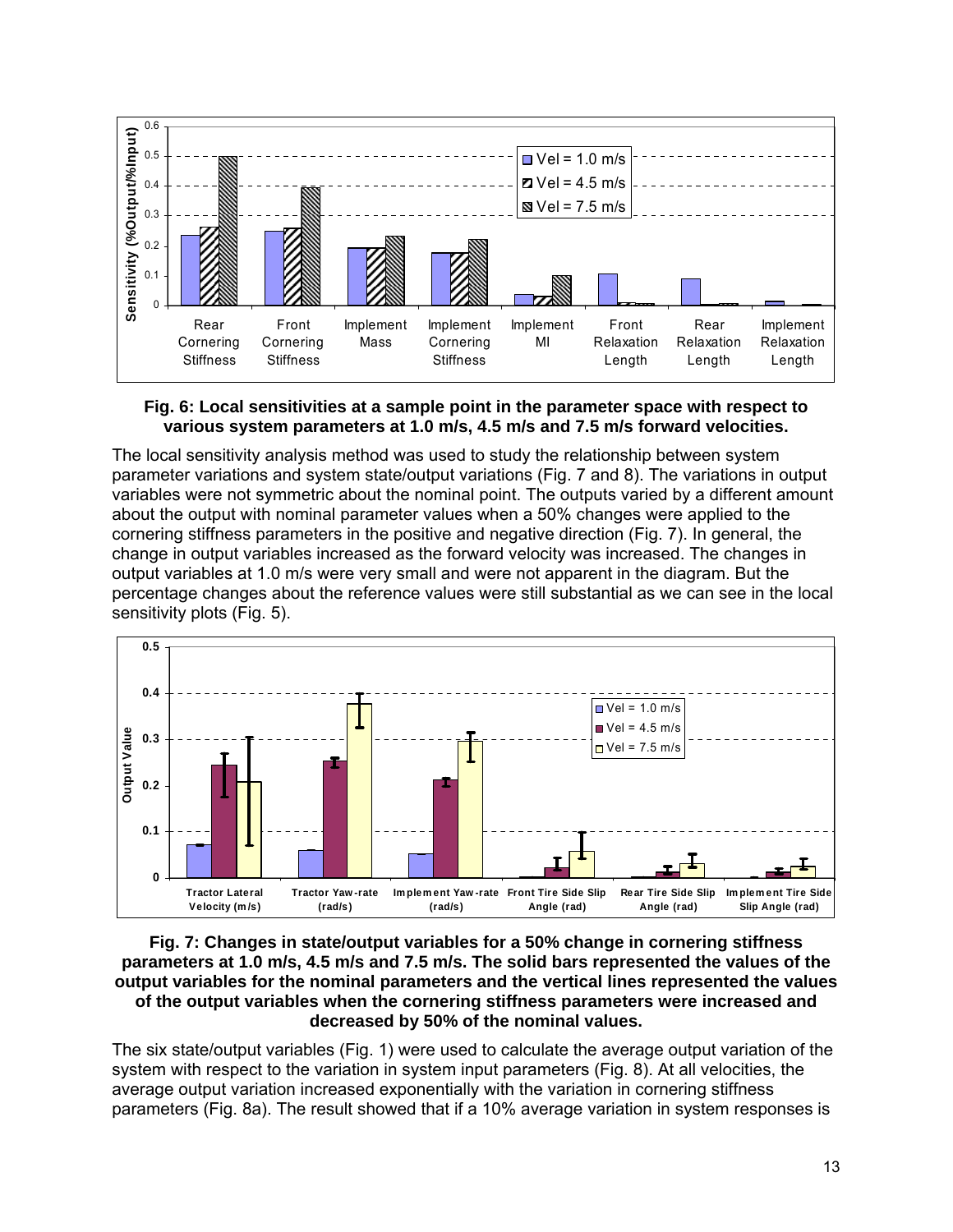

#### **Fig. 6: Local sensitivities at a sample point in the parameter space with respect to various system parameters at 1.0 m/s, 4.5 m/s and 7.5 m/s forward velocities.**

The local sensitivity analysis method was used to study the relationship between system parameter variations and system state/output variations (Fig. 7 and 8). The variations in output variables were not symmetric about the nominal point. The outputs varied by a different amount about the output with nominal parameter values when a 50% changes were applied to the cornering stiffness parameters in the positive and negative direction (Fig. 7). In general, the change in output variables increased as the forward velocity was increased. The changes in output variables at 1.0 m/s were very small and were not apparent in the diagram. But the percentage changes about the reference values were still substantial as we can see in the local sensitivity plots (Fig. 5).



#### **Fig. 7: Changes in state/output variables for a 50% change in cornering stiffness parameters at 1.0 m/s, 4.5 m/s and 7.5 m/s. The solid bars represented the values of the output variables for the nominal parameters and the vertical lines represented the values of the output variables when the cornering stiffness parameters were increased and decreased by 50% of the nominal values.**

The six state/output variables (Fig. 1) were used to calculate the average output variation of the system with respect to the variation in system input parameters (Fig. 8). At all velocities, the average output variation increased exponentially with the variation in cornering stiffness parameters (Fig. 8a). The result showed that if a 10% average variation in system responses is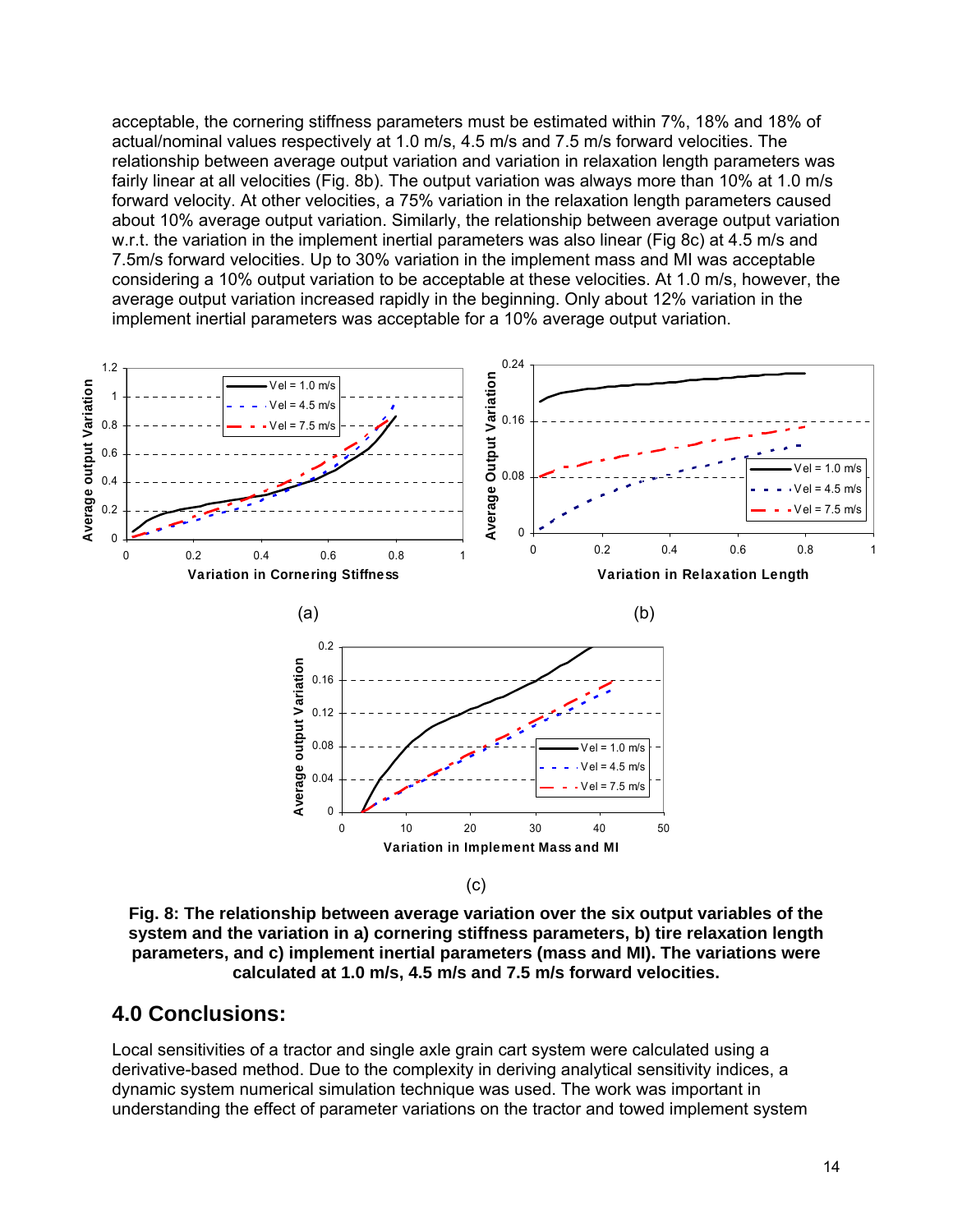acceptable, the cornering stiffness parameters must be estimated within 7%, 18% and 18% of actual/nominal values respectively at 1.0 m/s, 4.5 m/s and 7.5 m/s forward velocities. The relationship between average output variation and variation in relaxation length parameters was fairly linear at all velocities (Fig. 8b). The output variation was always more than 10% at 1.0 m/s forward velocity. At other velocities, a 75% variation in the relaxation length parameters caused about 10% average output variation. Similarly, the relationship between average output variation w.r.t. the variation in the implement inertial parameters was also linear (Fig 8c) at 4.5 m/s and 7.5m/s forward velocities. Up to 30% variation in the implement mass and MI was acceptable considering a 10% output variation to be acceptable at these velocities. At 1.0 m/s, however, the average output variation increased rapidly in the beginning. Only about 12% variation in the implement inertial parameters was acceptable for a 10% average output variation.



**Fig. 8: The relationship between average variation over the six output variables of the system and the variation in a) cornering stiffness parameters, b) tire relaxation length parameters, and c) implement inertial parameters (mass and MI). The variations were calculated at 1.0 m/s, 4.5 m/s and 7.5 m/s forward velocities.** 

## **4.0 Conclusions:**

Local sensitivities of a tractor and single axle grain cart system were calculated using a derivative-based method. Due to the complexity in deriving analytical sensitivity indices, a dynamic system numerical simulation technique was used. The work was important in understanding the effect of parameter variations on the tractor and towed implement system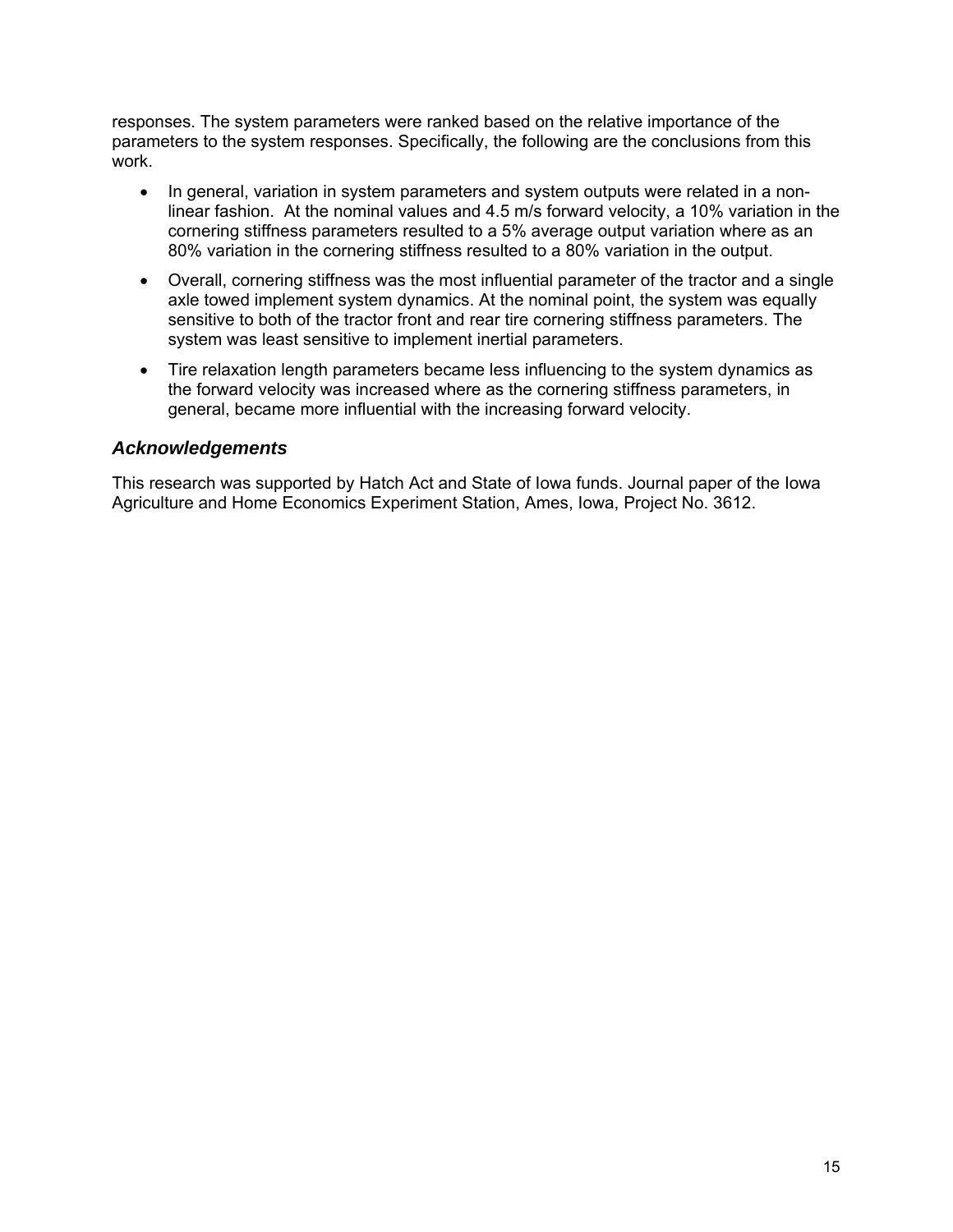responses. The system parameters were ranked based on the relative importance of the parameters to the system responses. Specifically, the following are the conclusions from this work.

- In general, variation in system parameters and system outputs were related in a nonlinear fashion. At the nominal values and 4.5 m/s forward velocity, a 10% variation in the cornering stiffness parameters resulted to a 5% average output variation where as an 80% variation in the cornering stiffness resulted to a 80% variation in the output.
- Overall, cornering stiffness was the most influential parameter of the tractor and a single axle towed implement system dynamics. At the nominal point, the system was equally sensitive to both of the tractor front and rear tire cornering stiffness parameters. The system was least sensitive to implement inertial parameters.
- Tire relaxation length parameters became less influencing to the system dynamics as the forward velocity was increased where as the cornering stiffness parameters, in general, became more influential with the increasing forward velocity.

## *Acknowledgements*

This research was supported by Hatch Act and State of Iowa funds. Journal paper of the Iowa Agriculture and Home Economics Experiment Station, Ames, Iowa, Project No. 3612.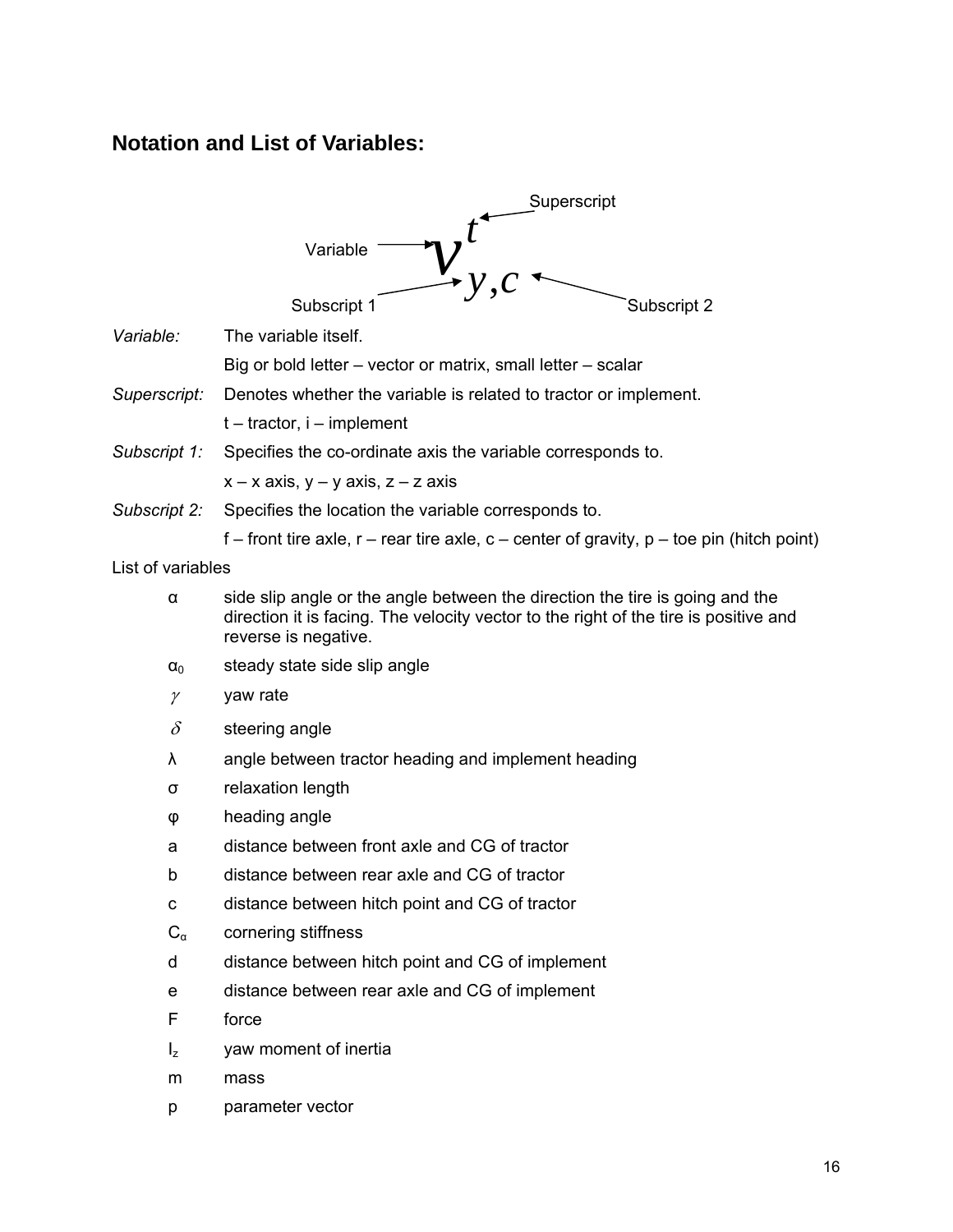# **Notation and List of Variables:**

|                   | Superscript                                                                                                                                                                                  |  |  |  |
|-------------------|----------------------------------------------------------------------------------------------------------------------------------------------------------------------------------------------|--|--|--|
|                   | Variable                                                                                                                                                                                     |  |  |  |
|                   | Subscript 1<br>Subscript 2                                                                                                                                                                   |  |  |  |
| Variable:         | The variable itself.                                                                                                                                                                         |  |  |  |
|                   | Big or bold letter – vector or matrix, small letter – scalar                                                                                                                                 |  |  |  |
| Superscript:      | Denotes whether the variable is related to tractor or implement.                                                                                                                             |  |  |  |
|                   | $t$ – tractor, $i$ – implement                                                                                                                                                               |  |  |  |
| Subscript 1:      | Specifies the co-ordinate axis the variable corresponds to.                                                                                                                                  |  |  |  |
|                   | $x - x$ axis, $y - y$ axis, $z - z$ axis                                                                                                                                                     |  |  |  |
| Subscript 2:      | Specifies the location the variable corresponds to.                                                                                                                                          |  |  |  |
|                   | f – front tire axle, r – rear tire axle, c – center of gravity, $p$ – toe pin (hitch point)                                                                                                  |  |  |  |
| List of variables |                                                                                                                                                                                              |  |  |  |
| α                 | side slip angle or the angle between the direction the tire is going and the<br>direction it is facing. The velocity vector to the right of the tire is positive and<br>reverse is negative. |  |  |  |
| $\alpha_0$        | steady state side slip angle                                                                                                                                                                 |  |  |  |
| γ                 | yaw rate                                                                                                                                                                                     |  |  |  |
| $\delta$          | steering angle                                                                                                                                                                               |  |  |  |
| λ                 | angle between tractor heading and implement heading                                                                                                                                          |  |  |  |
| σ                 | relaxation length                                                                                                                                                                            |  |  |  |
| φ                 | heading angle                                                                                                                                                                                |  |  |  |
| a                 | distance between front axle and CG of tractor                                                                                                                                                |  |  |  |
| b                 | distance between rear axle and CG of tractor                                                                                                                                                 |  |  |  |
| C                 | distance between hitch point and CG of tractor                                                                                                                                               |  |  |  |
| $C_{\alpha}$      | cornering stiffness                                                                                                                                                                          |  |  |  |
| d                 | distance between hitch point and CG of implement                                                                                                                                             |  |  |  |
| e                 | distance between rear axle and CG of implement                                                                                                                                               |  |  |  |
| F                 | force                                                                                                                                                                                        |  |  |  |
| $I_{z}$           | yaw moment of inertia                                                                                                                                                                        |  |  |  |
| m                 | mass                                                                                                                                                                                         |  |  |  |
| р                 | parameter vector                                                                                                                                                                             |  |  |  |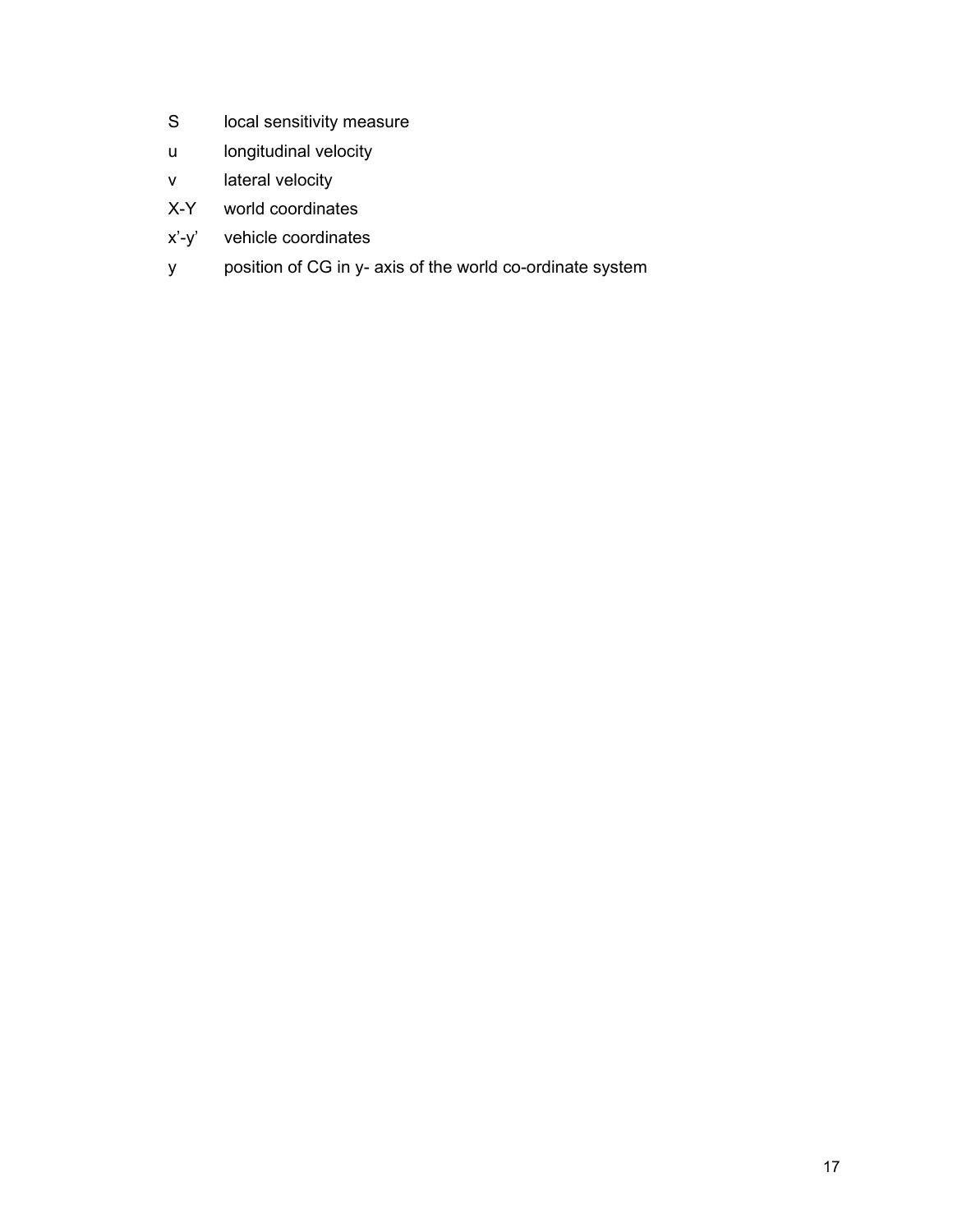- S local sensitivity measure
- u longitudinal velocity
- v lateral velocity
- X-Y world coordinates
- x'-y' vehicle coordinates
- y position of CG in y- axis of the world co-ordinate system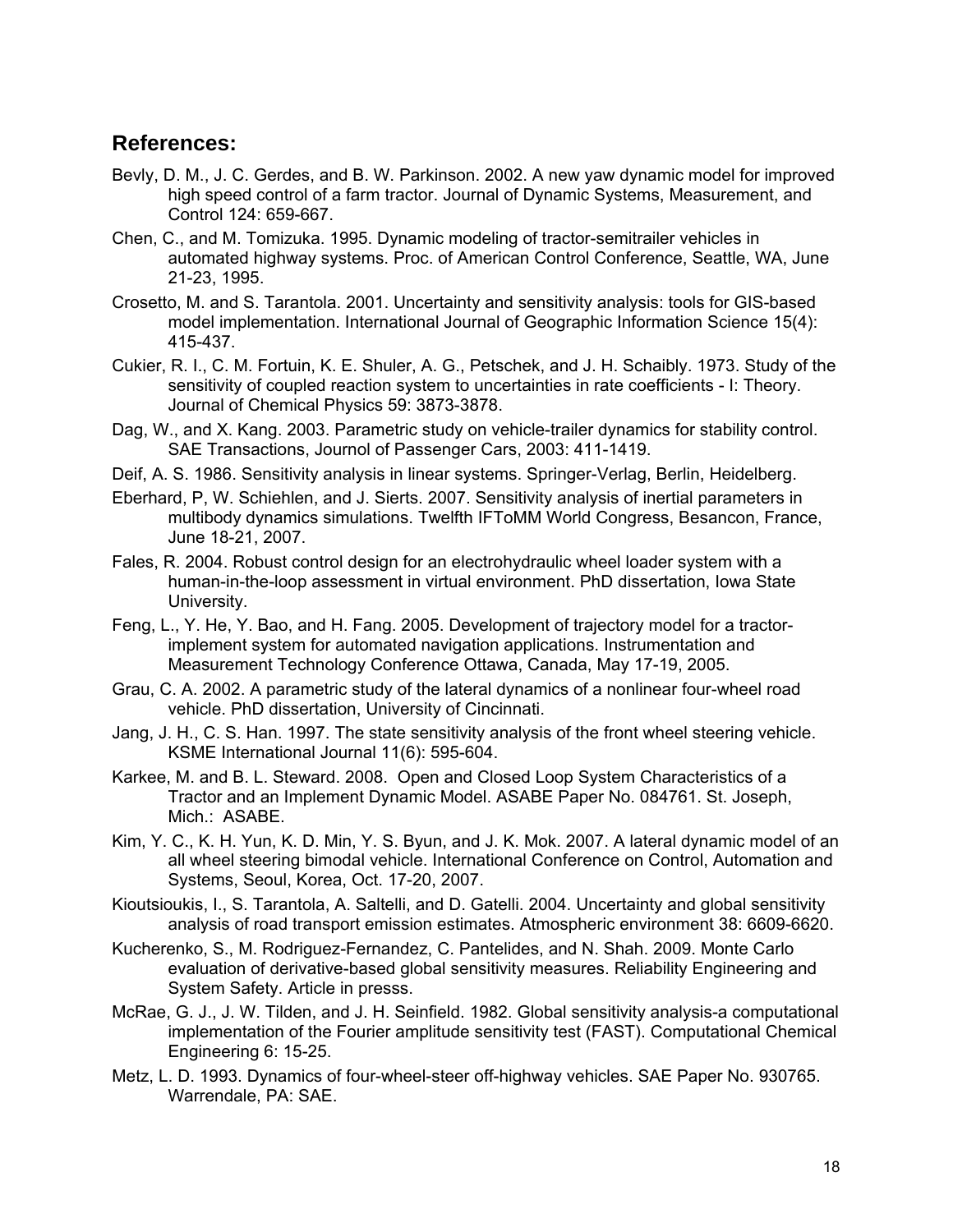## **References:**

- Bevly, D. M., J. C. Gerdes, and B. W. Parkinson. 2002. A new yaw dynamic model for improved high speed control of a farm tractor. Journal of Dynamic Systems, Measurement, and Control 124: 659-667.
- Chen, C., and M. Tomizuka. 1995. Dynamic modeling of tractor-semitrailer vehicles in automated highway systems. Proc. of American Control Conference, Seattle, WA, June 21-23, 1995.
- Crosetto, M. and S. Tarantola. 2001. Uncertainty and sensitivity analysis: tools for GIS-based model implementation. International Journal of Geographic Information Science 15(4): 415-437.
- Cukier, R. I., C. M. Fortuin, K. E. Shuler, A. G., Petschek, and J. H. Schaibly. 1973. Study of the sensitivity of coupled reaction system to uncertainties in rate coefficients - I: Theory. Journal of Chemical Physics 59: 3873-3878.
- Dag, W., and X. Kang. 2003. Parametric study on vehicle-trailer dynamics for stability control. SAE Transactions, Journol of Passenger Cars, 2003: 411-1419.
- Deif, A. S. 1986. Sensitivity analysis in linear systems. Springer-Verlag, Berlin, Heidelberg.
- Eberhard, P, W. Schiehlen, and J. Sierts. 2007. Sensitivity analysis of inertial parameters in multibody dynamics simulations. Twelfth IFToMM World Congress, Besancon, France, June 18-21, 2007.
- Fales, R. 2004. Robust control design for an electrohydraulic wheel loader system with a human-in-the-loop assessment in virtual environment. PhD dissertation, Iowa State University.
- Feng, L., Y. He, Y. Bao, and H. Fang. 2005. Development of trajectory model for a tractorimplement system for automated navigation applications. Instrumentation and Measurement Technology Conference Ottawa, Canada, May 17-19, 2005.
- Grau, C. A. 2002. A parametric study of the lateral dynamics of a nonlinear four-wheel road vehicle. PhD dissertation, University of Cincinnati.
- Jang, J. H., C. S. Han. 1997. The state sensitivity analysis of the front wheel steering vehicle. KSME International Journal 11(6): 595-604.
- Karkee, M. and B. L. Steward. 2008. Open and Closed Loop System Characteristics of a Tractor and an Implement Dynamic Model. ASABE Paper No. 084761. St. Joseph, Mich.: ASABE.
- Kim, Y. C., K. H. Yun, K. D. Min, Y. S. Byun, and J. K. Mok. 2007. A lateral dynamic model of an all wheel steering bimodal vehicle. International Conference on Control, Automation and Systems, Seoul, Korea, Oct. 17-20, 2007.
- Kioutsioukis, I., S. Tarantola, A. Saltelli, and D. Gatelli. 2004. Uncertainty and global sensitivity analysis of road transport emission estimates. Atmospheric environment 38: 6609-6620.
- Kucherenko, S., M. Rodriguez-Fernandez, C. Pantelides, and N. Shah. 2009. Monte Carlo evaluation of derivative-based global sensitivity measures. Reliability Engineering and System Safety. Article in presss.
- McRae, G. J., J. W. Tilden, and J. H. Seinfield. 1982. Global sensitivity analysis-a computational implementation of the Fourier amplitude sensitivity test (FAST). Computational Chemical Engineering 6: 15-25.
- Metz, L. D. 1993. Dynamics of four-wheel-steer off-highway vehicles. SAE Paper No. 930765. Warrendale, PA: SAE.